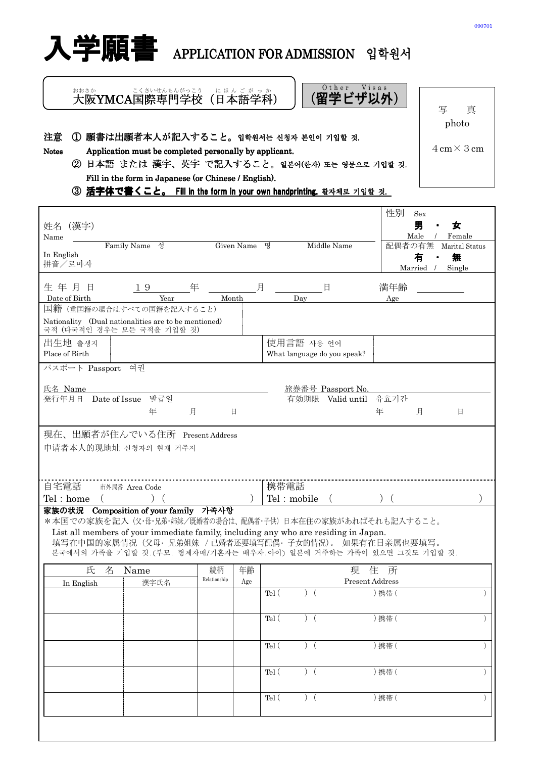

 大阪 YMCA国際 こくさい 専門 せんもん 学校 がっこう (日本 語学科 ご が っ か おお に ほ ん

) ||(留学ビザ以外)| O ther Visas

注意 ① 願書は出願者本人が記入すること。입학원서는 신청자 본인이 기입할 것.

Notes Application must be completed personally by applicant.

 ② 日本語 または 漢字、英字 で記入すること。일본어(한자) 또는 영문으로 기입할 것. Fill in the form in Japanese (or Chinese / English).

3 活字体で書くこと。 Fill in the form in your own handprinting. 활자체로 기입할 것.

|                                                                                                                             |              |     |             |                                                      |                             | 性別                        | Sex                                            |  |
|-----------------------------------------------------------------------------------------------------------------------------|--------------|-----|-------------|------------------------------------------------------|-----------------------------|---------------------------|------------------------------------------------|--|
| (漢字)<br>姓名<br>Name                                                                                                          |              |     |             |                                                      |                             |                           | 男<br>女<br>٠<br>Male<br>Female<br>$\frac{1}{2}$ |  |
| Family Name 성                                                                                                               | Given Name 명 |     |             |                                                      | Middle Name                 | 配偶者の有無                    | Marital Status                                 |  |
| In English<br>拼音/로마자                                                                                                        |              |     |             |                                                      |                             |                           | 無<br>有<br>Married /<br>Single                  |  |
|                                                                                                                             |              |     |             |                                                      |                             |                           |                                                |  |
| 年<br>生年月日<br>19<br>Date of Birth<br>Year                                                                                    | Month        | 月   |             |                                                      | 日                           | 満年齢                       |                                                |  |
| 国籍 (重国籍の場合はすべての国籍を記入すること)                                                                                                   |              |     |             | Day                                                  |                             | Age                       |                                                |  |
| Nationality (Dual nationalities are to be mentioned)<br>국적 (다국적인 경우는 모든 국적을 기입할 것)                                          |              |     |             |                                                      |                             |                           |                                                |  |
| 出生地 출생지                                                                                                                     |              |     |             | 使用言語 사용 언어                                           |                             |                           |                                                |  |
| Place of Birth                                                                                                              |              |     |             |                                                      | What language do you speak? |                           |                                                |  |
| パスポート Passport 여권                                                                                                           |              |     |             |                                                      |                             |                           |                                                |  |
| 氏名 Name                                                                                                                     |              |     |             |                                                      | 旅券番号 Passport No.           |                           |                                                |  |
| 발급일<br>発行年月日 Date of Issue                                                                                                  |              |     |             |                                                      | 有効期限 Valid until 유효기간       |                           |                                                |  |
| 月<br>年                                                                                                                      | 日            |     |             |                                                      |                             | 年                         | 日<br>月                                         |  |
| 現在、出願者が住んでいる住所 Present Address                                                                                              |              |     |             |                                                      |                             |                           |                                                |  |
| 申请者本人的现地址 신청자의 현재 거주지                                                                                                       |              |     |             |                                                      |                             |                           |                                                |  |
|                                                                                                                             |              |     |             |                                                      |                             |                           |                                                |  |
|                                                                                                                             |              |     |             |                                                      |                             |                           |                                                |  |
| 自宅電話<br>市外局番 Area Code                                                                                                      |              |     | 携帯電話        |                                                      |                             |                           |                                                |  |
| Tel: home<br>家族の状況 Composition of your family 가족사항                                                                          |              |     | Tel: mobile |                                                      |                             |                           |                                                |  |
| *本国での家族を記入 (父·母·兄弟·姉妹/既婚者の場合は、配偶者·子供) 日本在住の家族があればそれも記入すること。                                                                 |              |     |             |                                                      |                             |                           |                                                |  |
| List all members of your immediate family, including any who are residing in Japan.                                         |              |     |             |                                                      |                             |                           |                                                |  |
| 填写在中国的家属情况(父母·兄弟姐妹 / 己婚者还要填写配偶·子女的情况)。 如果有在日亲属也要填写。<br>본국에서의 가족을 기입할 것. (부모, 형제자매/기혼자는 배우자. 아이) 일본에 거주하는 가족이 있으면 그것도 기입할 것. |              |     |             |                                                      |                             |                           |                                                |  |
| 氏                                                                                                                           | 続柄           | 年齢  |             |                                                      | 現                           |                           |                                                |  |
| Name<br>名<br>漢字氏名<br>In English                                                                                             | Relationship | Age |             |                                                      |                             | 住<br>所<br>Present Address |                                                |  |
|                                                                                                                             |              |     | Tel (       | $\mathcal{L}$<br>$\left($                            |                             | )携带(                      |                                                |  |
|                                                                                                                             |              |     |             |                                                      |                             |                           |                                                |  |
|                                                                                                                             |              |     | Tel (       | $\left( \right)$                                     |                             | )携帯(                      |                                                |  |
|                                                                                                                             |              |     |             |                                                      |                             |                           |                                                |  |
|                                                                                                                             |              |     | Tel (       | (                                                    |                             | )携带(                      | $\lambda$                                      |  |
|                                                                                                                             |              |     |             |                                                      |                             |                           |                                                |  |
|                                                                                                                             |              |     | Tel (       | $\left( \begin{array}{c} 1 \\ 1 \end{array} \right)$ |                             | )携带(                      |                                                |  |
|                                                                                                                             |              |     | Tel (       | $)$ (                                                |                             | )携带(                      | $\lambda$                                      |  |
|                                                                                                                             |              |     |             |                                                      |                             |                           |                                                |  |
|                                                                                                                             |              |     |             |                                                      |                             |                           |                                                |  |
|                                                                                                                             |              |     |             |                                                      |                             |                           |                                                |  |

写 真 photo

4cm×3cm